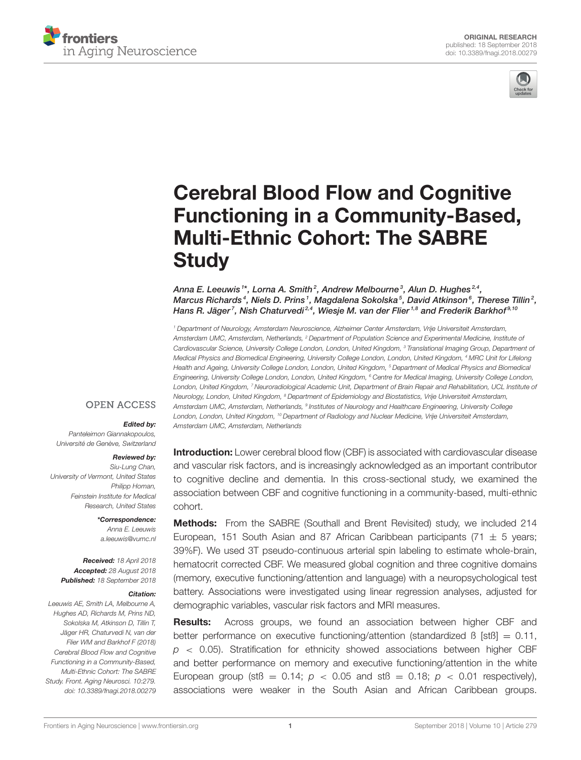



# Cerebral Blood Flow and Cognitive [Functioning in a Community-Based,](https://www.frontiersin.org/articles/10.3389/fnagi.2018.00279/full) Multi-Ethnic Cohort: The SABRE **Study**

[Anna E. Leeuwis](http://loop.frontiersin.org/people/552463/overview)  $^{\text{!}*}$ , Lorna A. Smith $^{\text{2}}$ , Andrew Melbourne $^{\text{3}}$ , [Alun D. Hughes](http://loop.frontiersin.org/people/15173/overview) $^{\text{2,4}},$ [Marcus Richards](http://loop.frontiersin.org/people/190830/overview) $^4$ , [Niels D. Prins](http://loop.frontiersin.org/people/128372/overview) $^1$ , [Magdalena Sokolska](http://loop.frontiersin.org/people/552512/overview) $^5$ , David Atkinson $^6$ , [Therese Tillin](http://loop.frontiersin.org/people/598019/overview) $^2$ , Hans R. Jäger<sup>7</sup>, Nish Chaturvedi<sup>2,4</sup>, [Wiesje M. van der Flier](http://loop.frontiersin.org/people/113088/overview) <sup>1,8</sup> and [Frederik Barkhof](http://loop.frontiersin.org/people/10249/overview) <sup>9,10</sup>

<sup>1</sup> Department of Neurology, Amsterdam Neuroscience, Alzheimer Center Amsterdam, Vrije Universiteit Amsterdam, Amsterdam UMC, Amsterdam, Netherlands, <sup>2</sup> Department of Population Science and Experimental Medicine, Institute of Cardiovascular Science, University College London, London, United Kingdom, <sup>3</sup> Translational Imaging Group, Department of Medical Physics and Biomedical Engineering, University College London, London, United Kingdom, <sup>4</sup> MRC Unit for Lifelong Health and Ageing, University College London, London, United Kingdom, <sup>5</sup> Department of Medical Physics and Biomedical Engineering, University College London, London, United Kingdom, <sup>6</sup> Centre for Medical Imaging, University College London, London, United Kingdom, <sup>7</sup> Neuroradiological Academic Unit, Department of Brain Repair and Rehabilitation, UCL Institute of Neurology, London, United Kingdom, <sup>8</sup> Department of Epidemiology and Biostatistics, Vrije Universiteit Amsterdam, Amsterdam UMC, Amsterdam, Netherlands, <sup>9</sup> Institutes of Neurology and Healthcare Engineering, University College London, London, United Kingdom, <sup>10</sup> Department of Radiology and Nuclear Medicine, Vrije Universiteit Amsterdam, Amsterdam UMC, Amsterdam, Netherlands

#### **OPEN ACCESS**

#### Edited by:

Panteleimon Giannakopoulos, Université de Genève, Switzerland

#### Reviewed by:

Siu-Lung Chan, University of Vermont, United States Philipp Homan, Feinstein Institute for Medical Research, United States

> \*Correspondence: Anna E. Leeuwis [a.leeuwis@vumc.nl](mailto:a.leeuwis@vumc.nl)

Received: 18 April 2018 Accepted: 28 August 2018 Published: 18 September 2018

#### Citation:

Leeuwis AE, Smith LA, Melbourne A, Hughes AD, Richards M, Prins ND, Sokolska M, Atkinson D, Tillin T, Jäger HR, Chaturvedi N, van der Flier WM and Barkhof F (2018) Cerebral Blood Flow and Cognitive Functioning in a Community-Based, Multi-Ethnic Cohort: The SABRE Study. Front. Aging Neurosci. 10:279. doi: [10.3389/fnagi.2018.00279](https://doi.org/10.3389/fnagi.2018.00279) **Introduction:** Lower cerebral blood flow (CBF) is associated with cardiovascular disease and vascular risk factors, and is increasingly acknowledged as an important contributor to cognitive decline and dementia. In this cross-sectional study, we examined the association between CBF and cognitive functioning in a community-based, multi-ethnic cohort.

Methods: From the SABRE (Southall and Brent Revisited) study, we included 214 European, 151 South Asian and 87 African Caribbean participants (71  $\pm$  5 years; 39%F). We used 3T pseudo-continuous arterial spin labeling to estimate whole-brain, hematocrit corrected CBF. We measured global cognition and three cognitive domains (memory, executive functioning/attention and language) with a neuropsychological test battery. Associations were investigated using linear regression analyses, adjusted for demographic variables, vascular risk factors and MRI measures.

Results: Across groups, we found an association between higher CBF and better performance on executive functioning/attention (standardized  $\beta$  [st $\beta$ ] = 0.11,  $p \sim 0.05$ ). Stratification for ethnicity showed associations between higher CBF and better performance on memory and executive functioning/attention in the white European group (st $\beta = 0.14$ ;  $p < 0.05$  and st $\beta = 0.18$ ;  $p < 0.01$  respectively), associations were weaker in the South Asian and African Caribbean groups.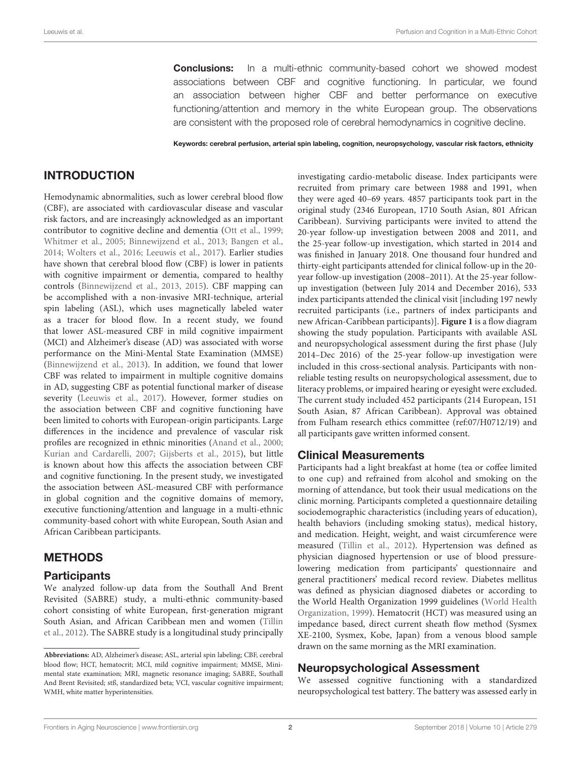**Conclusions:** In a multi-ethnic community-based cohort we showed modest associations between CBF and cognitive functioning. In particular, we found an association between higher CBF and better performance on executive functioning/attention and memory in the white European group. The observations are consistent with the proposed role of cerebral hemodynamics in cognitive decline.

Keywords: cerebral perfusion, arterial spin labeling, cognition, neuropsychology, vascular risk factors, ethnicity

# INTRODUCTION

Hemodynamic abnormalities, such as lower cerebral blood flow (CBF), are associated with cardiovascular disease and vascular risk factors, and are increasingly acknowledged as an important contributor to cognitive decline and dementia [\(Ott et al., 1999;](#page-7-0) [Whitmer et al., 2005;](#page-7-1) [Binnewijzend et al., 2013;](#page-6-0) [Bangen et al.,](#page-6-1) [2014;](#page-6-1) [Wolters et al., 2016;](#page-7-2) [Leeuwis et al., 2017\)](#page-6-2). Earlier studies have shown that cerebral blood flow (CBF) is lower in patients with cognitive impairment or dementia, compared to healthy controls [\(Binnewijzend et al., 2013,](#page-6-0) [2015\)](#page-6-3). CBF mapping can be accomplished with a non-invasive MRI-technique, arterial spin labeling (ASL), which uses magnetically labeled water as a tracer for blood flow. In a recent study, we found that lower ASL-measured CBF in mild cognitive impairment (MCI) and Alzheimer's disease (AD) was associated with worse performance on the Mini-Mental State Examination (MMSE) [\(Binnewijzend et al., 2013\)](#page-6-0). In addition, we found that lower CBF was related to impairment in multiple cognitive domains in AD, suggesting CBF as potential functional marker of disease severity [\(Leeuwis et al., 2017\)](#page-6-2). However, former studies on the association between CBF and cognitive functioning have been limited to cohorts with European-origin participants. Large differences in the incidence and prevalence of vascular risk profiles are recognized in ethnic minorities [\(Anand et al., 2000;](#page-6-4) [Kurian and Cardarelli, 2007;](#page-6-5) [Gijsberts et al., 2015\)](#page-6-6), but little is known about how this affects the association between CBF and cognitive functioning. In the present study, we investigated the association between ASL-measured CBF with performance in global cognition and the cognitive domains of memory, executive functioning/attention and language in a multi-ethnic community-based cohort with white European, South Asian and African Caribbean participants.

## METHODS

## **Participants**

We analyzed follow-up data from the Southall And Brent Revisited (SABRE) study, a multi-ethnic community-based cohort consisting of white European, first-generation migrant South Asian, and African Caribbean men and women (Tillin et al., [2012\)](#page-7-3). The SABRE study is a longitudinal study principally investigating cardio-metabolic disease. Index participants were recruited from primary care between 1988 and 1991, when they were aged 40–69 years. 4857 participants took part in the original study (2346 European, 1710 South Asian, 801 African Caribbean). Surviving participants were invited to attend the 20-year follow-up investigation between 2008 and 2011, and the 25-year follow-up investigation, which started in 2014 and was finished in January 2018. One thousand four hundred and thirty-eight participants attended for clinical follow-up in the 20 year follow-up investigation (2008–2011). At the 25-year followup investigation (between July 2014 and December 2016), 533 index participants attended the clinical visit [including 197 newly recruited participants (i.e., partners of index participants and new African-Caribbean participants)]. **[Figure 1](#page-2-0)** is a flow diagram showing the study population. Participants with available ASL and neuropsychological assessment during the first phase (July 2014–Dec 2016) of the 25-year follow-up investigation were included in this cross-sectional analysis. Participants with nonreliable testing results on neuropsychological assessment, due to literacy problems, or impaired hearing or eyesight were excluded. The current study included 452 participants (214 European, 151 South Asian, 87 African Caribbean). Approval was obtained from Fulham research ethics committee (ref:07/H0712/19) and all participants gave written informed consent.

#### Clinical Measurements

Participants had a light breakfast at home (tea or coffee limited to one cup) and refrained from alcohol and smoking on the morning of attendance, but took their usual medications on the clinic morning. Participants completed a questionnaire detailing sociodemographic characteristics (including years of education), health behaviors (including smoking status), medical history, and medication. Height, weight, and waist circumference were measured [\(Tillin et al., 2012\)](#page-7-3). Hypertension was defined as physician diagnosed hypertension or use of blood pressurelowering medication from participants' questionnaire and general practitioners' medical record review. Diabetes mellitus was defined as physician diagnosed diabetes or according to the World Health Organization 1999 guidelines (World Health Organization, [1999\)](#page-7-4). Hematocrit (HCT) was measured using an impedance based, direct current sheath flow method (Sysmex XE-2100, Sysmex, Kobe, Japan) from a venous blood sample drawn on the same morning as the MRI examination.

## Neuropsychological Assessment

We assessed cognitive functioning with a standardized neuropsychological test battery. The battery was assessed early in

**Abbreviations:** AD, Alzheimer's disease; ASL, arterial spin labeling; CBF, cerebral blood flow; HCT, hematocrit; MCI, mild cognitive impairment; MMSE, Minimental state examination; MRI, magnetic resonance imaging; SABRE, Southall And Brent Revisited; stß, standardized beta; VCI, vascular cognitive impairment; WMH, white matter hyperintensities.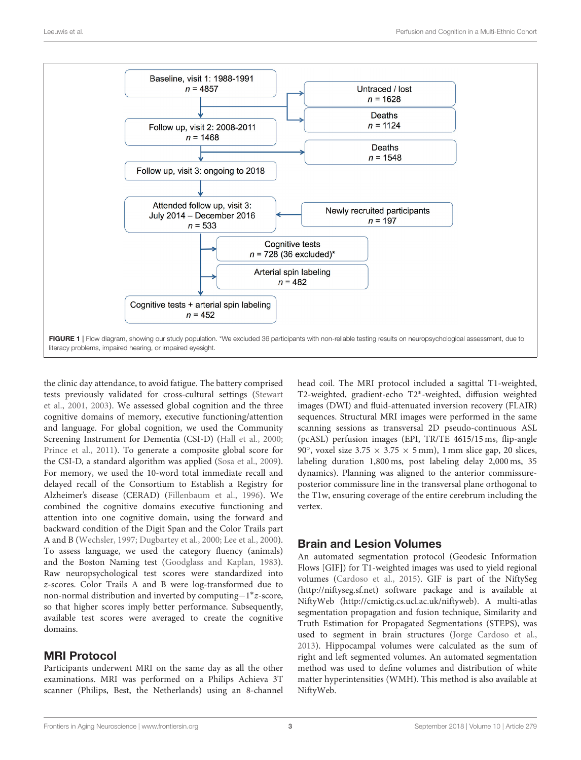

<span id="page-2-0"></span>the clinic day attendance, to avoid fatigue. The battery comprised tests previously validated for cross-cultural settings (Stewart et al., [2001,](#page-7-5) [2003\)](#page-7-6). We assessed global cognition and the three cognitive domains of memory, executive functioning/attention and language. For global cognition, we used the Community Screening Instrument for Dementia (CSI-D) [\(Hall et al., 2000;](#page-6-7) [Prince et al., 2011\)](#page-7-7). To generate a composite global score for the CSI-D, a standard algorithm was applied [\(Sosa et al., 2009\)](#page-7-8). For memory, we used the 10-word total immediate recall and delayed recall of the Consortium to Establish a Registry for Alzheimer's disease (CERAD) [\(Fillenbaum et al., 1996\)](#page-6-8). We combined the cognitive domains executive functioning and attention into one cognitive domain, using the forward and backward condition of the Digit Span and the Color Trails part A and B [\(Wechsler, 1997;](#page-7-9) [Dugbartey et al., 2000;](#page-6-9) [Lee et al., 2000\)](#page-6-10). To assess language, we used the category fluency (animals) and the Boston Naming test [\(Goodglass and Kaplan, 1983\)](#page-6-11). Raw neuropsychological test scores were standardized into z-scores. Color Trails A and B were log-transformed due to non-normal distribution and inverted by computing−1 ∗ z-score, so that higher scores imply better performance. Subsequently, available test scores were averaged to create the cognitive domains.

## MRI Protocol

Participants underwent MRI on the same day as all the other examinations. MRI was performed on a Philips Achieva 3T scanner (Philips, Best, the Netherlands) using an 8-channel head coil. The MRI protocol included a sagittal T1-weighted, T2-weighted, gradient-echo T2<sup>∗</sup> -weighted, diffusion weighted images (DWI) and fluid-attenuated inversion recovery (FLAIR) sequences. Structural MRI images were performed in the same scanning sessions as transversal 2D pseudo-continuous ASL (pcASL) perfusion images (EPI, TR/TE 4615/15 ms, flip-angle 90°, voxel size 3.75  $\times$  3.75  $\times$  5 mm), 1 mm slice gap, 20 slices, labeling duration 1,800 ms, post labeling delay 2,000 ms, 35 dynamics). Planning was aligned to the anterior commissureposterior commissure line in the transversal plane orthogonal to the T1w, ensuring coverage of the entire cerebrum including the vertex.

# Brain and Lesion Volumes

An automated segmentation protocol (Geodesic Information Flows [GIF]) for T1-weighted images was used to yield regional volumes [\(Cardoso et al., 2015\)](#page-6-12). GIF is part of the NiftySeg [\(http://niftyseg.sf.net\)](http://niftyseg.sf.net) software package and is available at NiftyWeb [\(http://cmictig.cs.ucl.ac.uk/niftyweb\)](http://cmictig.cs.ucl.ac.uk/niftyweb). A multi-atlas segmentation propagation and fusion technique, Similarity and Truth Estimation for Propagated Segmentations (STEPS), was used to segment in brain structures [\(Jorge Cardoso et al.,](#page-6-13) [2013\)](#page-6-13). Hippocampal volumes were calculated as the sum of right and left segmented volumes. An automated segmentation method was used to define volumes and distribution of white matter hyperintensities (WMH). This method is also available at NiftyWeb.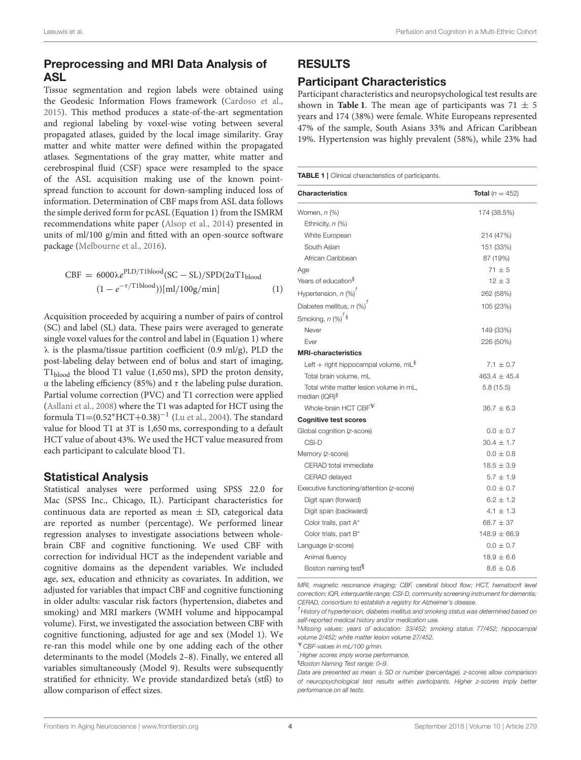## Preprocessing and MRI Data Analysis of ASL

Tissue segmentation and region labels were obtained using the Geodesic Information Flows framework [\(Cardoso et al.,](#page-6-12) [2015\)](#page-6-12). This method produces a state-of-the-art segmentation and regional labeling by voxel-wise voting between several propagated atlases, guided by the local image similarity. Gray matter and white matter were defined within the propagated atlases. Segmentations of the gray matter, white matter and cerebrospinal fluid (CSF) space were resampled to the space of the ASL acquisition making use of the known pointspread function to account for down-sampling induced loss of information. Determination of CBF maps from ASL data follows the simple derived form for pcASL (Equation 1) from the ISMRM recommendations white paper [\(Alsop et al., 2014\)](#page-6-14) presented in units of ml/100 g/min and fitted with an open-source software package [\(Melbourne et al., 2016\)](#page-6-15).

$$
CBF = 6000\lambda e^{\text{PLD/T1blood}}(SC - SL)/\text{SPD}(2\alpha \text{T1}_{\text{blood}})
$$

$$
(1 - e^{-\tau/\text{T1blood}}))[ml/100g/min]
$$
(1)

Acquisition proceeded by acquiring a number of pairs of control (SC) and label (SL) data. These pairs were averaged to generate single voxel values for the control and label in (Equation 1) where  $\lambda$  is the plasma/tissue partition coefficient (0.9 ml/g), PLD the post-labeling delay between end of bolus and start of imaging, T1blood the blood T1 value (1,650 ms), SPD the proton density, α the labeling efficiency (85%) and τ the labeling pulse duration. Partial volume correction (PVC) and T1 correction were applied [\(Asllani et al., 2008\)](#page-6-16) where the T1 was adapted for HCT using the formula T1=(0.52∗HCT+0.38)−<sup>1</sup> [\(Lu et al., 2004\)](#page-6-17). The standard value for blood T1 at 3T is 1,650 ms, corresponding to a default HCT value of about 43%. We used the HCT value measured from each participant to calculate blood T1.

#### Statistical Analysis

Statistical analyses were performed using SPSS 22.0 for Mac (SPSS Inc., Chicago, IL). Participant characteristics for continuous data are reported as mean  $\pm$  SD, categorical data are reported as number (percentage). We performed linear regression analyses to investigate associations between wholebrain CBF and cognitive functioning. We used CBF with correction for individual HCT as the independent variable and cognitive domains as the dependent variables. We included age, sex, education and ethnicity as covariates. In addition, we adjusted for variables that impact CBF and cognitive functioning in older adults: vascular risk factors (hypertension, diabetes and smoking) and MRI markers (WMH volume and hippocampal volume). First, we investigated the association between CBF with cognitive functioning, adjusted for age and sex (Model 1). We re-ran this model while one by one adding each of the other determinants to the model (Models 2–8). Finally, we entered all variables simultaneously (Model 9). Results were subsequently stratified for ethnicity. We provide standardized beta's (stß) to allow comparison of effect sizes.

# RESULTS

## Participant Characteristics

Participant characteristics and neuropsychological test results are shown in **[Table 1](#page-3-0)**. The mean age of participants was  $71 \pm 5$ years and 174 (38%) were female. White Europeans represented 47% of the sample, South Asians 33% and African Caribbean 19%. Hypertension was highly prevalent (58%), while 23% had

<span id="page-3-0"></span>TABLE 1 | Clinical characteristics of participants.

| Characteristics                                                      | <b>Total</b> ( $n = 452$ ) |
|----------------------------------------------------------------------|----------------------------|
| Women, n (%)                                                         | 174 (38.5%)                |
| Ethnicity, $n$ (%)                                                   |                            |
| White European                                                       | 214 (47%)                  |
| South Asian                                                          | 151 (33%)                  |
| African Caribbean                                                    | 87 (19%)                   |
| Age                                                                  | $71 \pm 5$                 |
| Years of education <sup>§</sup>                                      | $12 \pm 3$                 |
| Hypertension, $n$ (%) <sup>†</sup>                                   | 262 (58%)                  |
| Diabetes mellitus, $n$ (%) <sup><math>\dagger</math></sup>           | 105 (23%)                  |
| Smoking, $n$ (%) <sup><math>^7</math>§</sup>                         |                            |
| Never                                                                | 149 (33%)                  |
| Ever                                                                 | 226 (50%)                  |
| <b>MRI-characteristics</b>                                           |                            |
| Left + right hippocampal volume, $mL^{\$}$                           | $7.1 \pm 0.7$              |
| Total brain volume, mL                                               | $463.4 \pm 45.4$           |
| Total white matter lesion volume in mL,<br>median (IQR) <sup>§</sup> | 5.8 (15.5)                 |
| Whole-brain HCT CBF <sup>¥</sup>                                     | $36.7 \pm 6.3$             |
| <b>Cognitive test scores</b>                                         |                            |
| Global cognition (z-score)                                           | $0.0 + 0.7$                |
| CSI-D                                                                | $30.4 \pm 1.7$             |
| Memory (z-score)                                                     | $0.0 \pm 0.8$              |
| CERAD total immediate                                                | $18.5 \pm 3.9$             |
| CERAD delayed                                                        | $5.7 \pm 1.9$              |
| Executive functioning/attention (z-score)                            | $0.0 \pm 0.7$              |
| Digit span (forward)                                                 | $6.2 \pm 1.2$              |
| Digit span (backward)                                                | $4.1 \pm 1.3$              |
| Color trails, part A*                                                | $68.7 \pm 37$              |
| Color trials, part B <sup>*</sup>                                    | $148.9 \pm 66.9$           |
| Language (z-score)                                                   | $0.0 \pm 0.7$              |
| Animal fluency                                                       | $18.9 \pm 6.6$             |
| Boston naming test <sup>'ll</sup>                                    | $8.6 \pm 0.6$              |

MRI, magnetic resonance imaging; CBF, cerebral blood flow; HCT, hematocrit level correction; IQR, interquartile range; CSI-D, community screening instrument for dementia; CERAD, consortium to establish a registry for Alzheimer's disease.

 $<sup>†</sup>$  History of hypertension, diabetes mellitus and smoking status was determined based on</sup> self-reported medical history and/or medication use.

§Missing values: years of education: 33/452; smoking status 77/452; hippocampal volume 2/452; white matter lesion volume 27/452.

 $E$  CBF-values in mL/100 g/min.

\*Higher scores imply worse performance.

¶Boston Naming Test range: 0–9.

Data are presented as mean  $\pm$  SD or number (percentage). z-scores allow comparison of neuropsychological test results within participants. Higher z-scores imply better performance on all tests.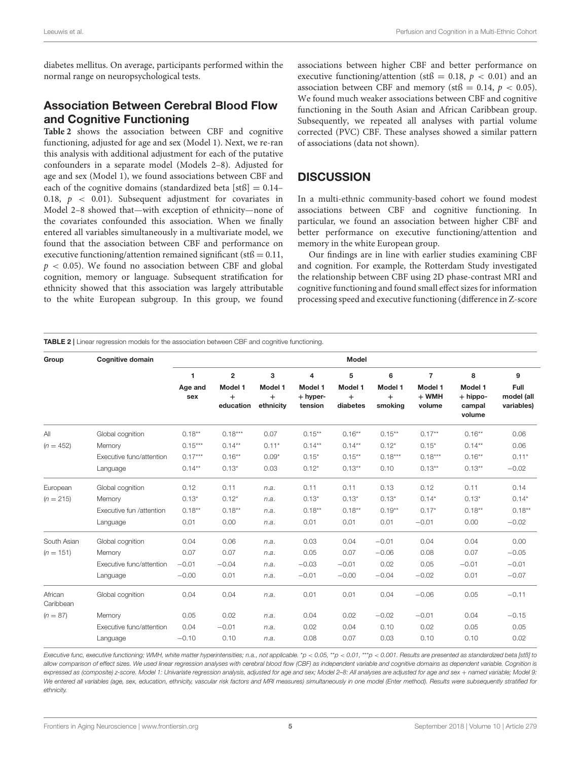diabetes mellitus. On average, participants performed within the normal range on neuropsychological tests.

## Association Between Cerebral Blood Flow and Cognitive Functioning

**[Table 2](#page-4-0)** shows the association between CBF and cognitive functioning, adjusted for age and sex (Model 1). Next, we re-ran this analysis with additional adjustment for each of the putative confounders in a separate model (Models 2–8). Adjusted for age and sex (Model 1), we found associations between CBF and each of the cognitive domains (standardized beta [stß] =  $0.14-$ 0.18,  $p \, < \, 0.01$ ). Subsequent adjustment for covariates in Model 2–8 showed that—with exception of ethnicity—none of the covariates confounded this association. When we finally entered all variables simultaneously in a multivariate model, we found that the association between CBF and performance on executive functioning/attention remained significant ( $\text{stfs} = 0.11$ ,  $p < 0.05$ ). We found no association between CBF and global cognition, memory or language. Subsequent stratification for ethnicity showed that this association was largely attributable to the white European subgroup. In this group, we found associations between higher CBF and better performance on executive functioning/attention (st $\beta = 0.18$ ,  $p < 0.01$ ) and an association between CBF and memory (st $\beta = 0.14$ ,  $p < 0.05$ ). We found much weaker associations between CBF and cognitive functioning in the South Asian and African Caribbean group. Subsequently, we repeated all analyses with partial volume corrected (PVC) CBF. These analyses showed a similar pattern of associations (data not shown).

## **DISCUSSION**

In a multi-ethnic community-based cohort we found modest associations between CBF and cognitive functioning. In particular, we found an association between higher CBF and better performance on executive functioning/attention and memory in the white European group.

Our findings are in line with earlier studies examining CBF and cognition. For example, the Rotterdam Study investigated the relationship between CBF using 2D phase-contrast MRI and cognitive functioning and found small effect sizes for information processing speed and executive functioning (difference in Z-score

<span id="page-4-0"></span>TABLE 2 | Linear regression models for the association between CBF and cognitive functioning.

| Group                | <b>Cognitive domain</b>  | Model               |                                |                                   |                                  |                                       |                                           |                                                |                                                |                                       |
|----------------------|--------------------------|---------------------|--------------------------------|-----------------------------------|----------------------------------|---------------------------------------|-------------------------------------------|------------------------------------------------|------------------------------------------------|---------------------------------------|
|                      |                          | 1<br>Age and<br>sex | $\overline{\mathbf{2}}$        | 3                                 | 4                                | 5<br>Model 1<br>$\ddot{}$<br>diabetes | 6<br>Model 1<br>$\overline{+}$<br>smoking | $\overline{7}$<br>Model 1<br>$+$ WMH<br>volume | 8<br>Model 1<br>$+$ hippo-<br>campal<br>volume | 9<br>Full<br>model (all<br>variables) |
|                      |                          |                     | Model 1<br>$^{+}$<br>education | Model 1<br>$\ddot{}$<br>ethnicity | Model 1<br>$+$ hyper-<br>tension |                                       |                                           |                                                |                                                |                                       |
| All                  | Global cognition         | $0.18***$           | $0.18***$                      | 0.07                              | $0.15***$                        | $0.16**$                              | $0.15***$                                 | $0.17**$                                       | $0.16**$                                       | 0.06                                  |
| $(n = 452)$          | Memory                   | $0.15***$           | $0.14**$                       | $0.11*$                           | $0.14**$                         | $0.14***$                             | $0.12*$                                   | $0.15*$                                        | $0.14***$                                      | 0.06                                  |
|                      | Executive func/attention | $0.17***$           | $0.16**$                       | $0.09*$                           | $0.15*$                          | $0.15***$                             | $0.18***$                                 | $0.18***$                                      | $0.16**$                                       | $0.11*$                               |
|                      | Language                 | $0.14***$           | $0.13*$                        | 0.03                              | $0.12*$                          | $0.13**$                              | 0.10                                      | $0.13***$                                      | $0.13**$                                       | $-0.02$                               |
| European             | Global cognition         | 0.12                | 0.11                           | n.a.                              | 0.11                             | 0.11                                  | 0.13                                      | 0.12                                           | 0.11                                           | 0.14                                  |
| $(n = 215)$          | Memory                   | $0.13*$             | $0.12*$                        | n.a.                              | $0.13*$                          | $0.13*$                               | $0.13*$                                   | $0.14*$                                        | $0.13*$                                        | $0.14*$                               |
|                      | Executive fun /attention | $0.18***$           | $0.18**$                       | n.a.                              | $0.18**$                         | $0.18***$                             | $0.19**$                                  | $0.17*$                                        | $0.18**$                                       | $0.18***$                             |
|                      | Language                 | 0.01                | 0.00                           | n.a.                              | 0.01                             | 0.01                                  | 0.01                                      | $-0.01$                                        | 0.00                                           | $-0.02$                               |
| South Asian          | Global cognition         | 0.04                | 0.06                           | n.a.                              | 0.03                             | 0.04                                  | $-0.01$                                   | 0.04                                           | 0.04                                           | 0.00                                  |
| $(n = 151)$          | Memory                   | 0.07                | 0.07                           | n.a.                              | 0.05                             | 0.07                                  | $-0.06$                                   | 0.08                                           | 0.07                                           | $-0.05$                               |
|                      | Executive func/attention | $-0.01$             | $-0.04$                        | n.a.                              | $-0.03$                          | $-0.01$                               | 0.02                                      | 0.05                                           | $-0.01$                                        | $-0.01$                               |
|                      | Language                 | $-0.00$             | 0.01                           | n.a.                              | $-0.01$                          | $-0.00$                               | $-0.04$                                   | $-0.02$                                        | 0.01                                           | $-0.07$                               |
| African<br>Caribbean | Global cognition         | 0.04                | 0.04                           | n.a.                              | 0.01                             | 0.01                                  | 0.04                                      | $-0.06$                                        | 0.05                                           | $-0.11$                               |
| $(n = 87)$           | Memory                   | 0.05                | 0.02                           | n.a.                              | 0.04                             | 0.02                                  | $-0.02$                                   | $-0.01$                                        | 0.04                                           | $-0.15$                               |
|                      | Executive func/attention | 0.04                | $-0.01$                        | n.a.                              | 0.02                             | 0.04                                  | 0.10                                      | 0.02                                           | 0.05                                           | 0.05                                  |
|                      | Language                 | $-0.10$             | 0.10                           | n.a.                              | 0.08                             | 0.07                                  | 0.03                                      | 0.10                                           | 0.10                                           | 0.02                                  |

Executive func, executive functioning; WMH, white matter hyperintensities; n.a., not applicable. \*p < 0.05, \*\*p < 0.01, \*\*p < 0.001. Results are presented as standardized beta [stß] to allow comparison of effect sizes. We used linear regression analyses with cerebral blood flow (CBF) as independent variable and cognitive domains as dependent variable. Cognition is expressed as (composite) z-score. Model 1: Univariate regression analysis, adjusted for age and sex; Model 2-8: All analyses are adjusted for age and sex + named variable; Model 9: We entered all variables (age, sex, education, ethnicity, vascular risk factors and MRI measures) simultaneously in one model (Enter method). Results were subsequently stratified for ethnicity.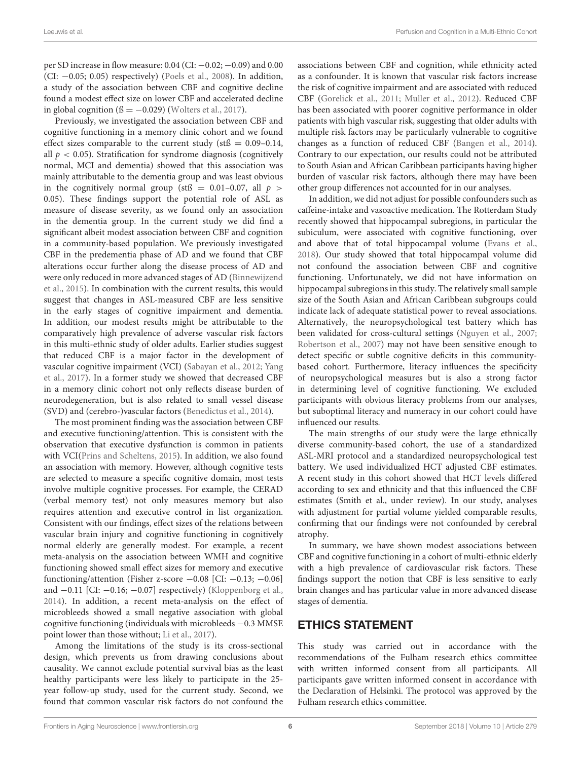per SD increase in flow measure: 0.04 (CI: −0.02; −0.09) and 0.00 (CI: −0.05; 0.05) respectively) [\(Poels et al., 2008\)](#page-7-10). In addition, a study of the association between CBF and cognitive decline found a modest effect size on lower CBF and accelerated decline in global cognition  $(\beta = -0.029)$  [\(Wolters et al., 2017\)](#page-7-11).

Previously, we investigated the association between CBF and cognitive functioning in a memory clinic cohort and we found effect sizes comparable to the current study (st $\beta = 0.09 - 0.14$ , all  $p < 0.05$ ). Stratification for syndrome diagnosis (cognitively normal, MCI and dementia) showed that this association was mainly attributable to the dementia group and was least obvious in the cognitively normal group (stß =  $0.01-0.07$ , all  $p >$ 0.05). These findings support the potential role of ASL as measure of disease severity, as we found only an association in the dementia group. In the current study we did find a significant albeit modest association between CBF and cognition in a community-based population. We previously investigated CBF in the predementia phase of AD and we found that CBF alterations occur further along the disease process of AD and were only reduced in more advanced stages of AD (Binnewijzend et al., [2015\)](#page-6-3). In combination with the current results, this would suggest that changes in ASL-measured CBF are less sensitive in the early stages of cognitive impairment and dementia. In addition, our modest results might be attributable to the comparatively high prevalence of adverse vascular risk factors in this multi-ethnic study of older adults. Earlier studies suggest that reduced CBF is a major factor in the development of vascular cognitive impairment (VCI) [\(Sabayan et al., 2012;](#page-7-12) Yang et al., [2017\)](#page-7-13). In a former study we showed that decreased CBF in a memory clinic cohort not only reflects disease burden of neurodegeneration, but is also related to small vessel disease (SVD) and (cerebro-)vascular factors [\(Benedictus et al., 2014\)](#page-6-18).

The most prominent finding was the association between CBF and executive functioning/attention. This is consistent with the observation that executive dysfunction is common in patients with VCI[\(Prins and Scheltens, 2015\)](#page-7-14). In addition, we also found an association with memory. However, although cognitive tests are selected to measure a specific cognitive domain, most tests involve multiple cognitive processes. For example, the CERAD (verbal memory test) not only measures memory but also requires attention and executive control in list organization. Consistent with our findings, effect sizes of the relations between vascular brain injury and cognitive functioning in cognitively normal elderly are generally modest. For example, a recent meta-analysis on the association between WMH and cognitive functioning showed small effect sizes for memory and executive functioning/attention (Fisher z-score  $-0.08$  [CI:  $-0.13$ ;  $-0.06$ ] and  $-0.11$  [CI:  $-0.16$ ;  $-0.07$ ] respectively) [\(Kloppenborg et al.,](#page-6-19) [2014\)](#page-6-19). In addition, a recent meta-analysis on the effect of microbleeds showed a small negative association with global cognitive functioning (individuals with microbleeds −0.3 MMSE point lower than those without; [Li et al., 2017\)](#page-6-20).

Among the limitations of the study is its cross-sectional design, which prevents us from drawing conclusions about causality. We cannot exclude potential survival bias as the least healthy participants were less likely to participate in the 25 year follow-up study, used for the current study. Second, we found that common vascular risk factors do not confound the associations between CBF and cognition, while ethnicity acted as a confounder. It is known that vascular risk factors increase the risk of cognitive impairment and are associated with reduced CBF [\(Gorelick et al., 2011;](#page-6-21) [Muller et al., 2012\)](#page-6-22). Reduced CBF has been associated with poorer cognitive performance in older patients with high vascular risk, suggesting that older adults with multiple risk factors may be particularly vulnerable to cognitive changes as a function of reduced CBF [\(Bangen et al., 2014\)](#page-6-1). Contrary to our expectation, our results could not be attributed to South Asian and African Caribbean participants having higher burden of vascular risk factors, although there may have been other group differences not accounted for in our analyses.

In addition, we did not adjust for possible confounders such as caffeine-intake and vasoactive medication. The Rotterdam Study recently showed that hippocampal subregions, in particular the subiculum, were associated with cognitive functioning, over and above that of total hippocampal volume [\(Evans et al.,](#page-6-23) [2018\)](#page-6-23). Our study showed that total hippocampal volume did not confound the association between CBF and cognitive functioning. Unfortunately, we did not have information on hippocampal subregions in this study. The relatively small sample size of the South Asian and African Caribbean subgroups could indicate lack of adequate statistical power to reveal associations. Alternatively, the neuropsychological test battery which has been validated for cross-cultural settings [\(Nguyen et al., 2007;](#page-6-24) [Robertson et al., 2007\)](#page-7-15) may not have been sensitive enough to detect specific or subtle cognitive deficits in this communitybased cohort. Furthermore, literacy influences the specificity of neuropsychological measures but is also a strong factor in determining level of cognitive functioning. We excluded participants with obvious literacy problems from our analyses, but suboptimal literacy and numeracy in our cohort could have influenced our results.

The main strengths of our study were the large ethnically diverse community-based cohort, the use of a standardized ASL-MRI protocol and a standardized neuropsychological test battery. We used individualized HCT adjusted CBF estimates. A recent study in this cohort showed that HCT levels differed according to sex and ethnicity and that this influenced the CBF estimates (Smith et al., under review). In our study, analyses with adjustment for partial volume yielded comparable results, confirming that our findings were not confounded by cerebral atrophy.

In summary, we have shown modest associations between CBF and cognitive functioning in a cohort of multi-ethnic elderly with a high prevalence of cardiovascular risk factors. These findings support the notion that CBF is less sensitive to early brain changes and has particular value in more advanced disease stages of dementia.

## ETHICS STATEMENT

This study was carried out in accordance with the recommendations of the Fulham research ethics committee with written informed consent from all participants. All participants gave written informed consent in accordance with the Declaration of Helsinki. The protocol was approved by the Fulham research ethics committee.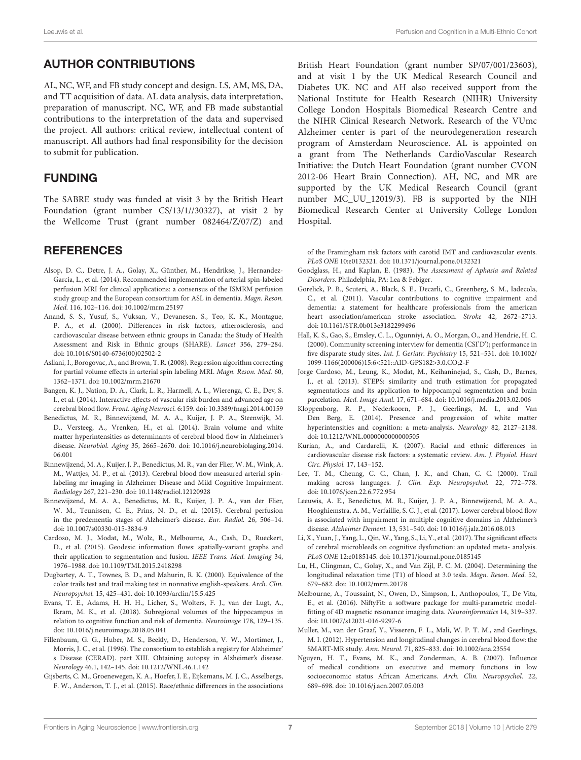# AUTHOR CONTRIBUTIONS

AL, NC, WF, and FB study concept and design. LS, AM, MS, DA, and TT acquisition of data. AL data analysis, data interpretation, preparation of manuscript. NC, WF, and FB made substantial contributions to the interpretation of the data and supervised the project. All authors: critical review, intellectual content of manuscript. All authors had final responsibility for the decision to submit for publication.

#### FUNDING

The SABRE study was funded at visit 3 by the British Heart Foundation (grant number CS/13/1//30327), at visit 2 by the Wellcome Trust (grant number 082464/Z/07/Z) and

#### **REFERENCES**

- <span id="page-6-14"></span>Alsop, D. C., Detre, J. A., Golay, X., Günther, M., Hendrikse, J., Hernandez-Garcia, L., et al. (2014). Recommended implementation of arterial spin-labeled perfusion MRI for clinical applications: a consensus of the ISMRM perfusion study group and the European consortium for ASL in dementia. Magn. Reson. Med. 116, 102–116. doi: [10.1002/mrm.25197](https://doi.org/10.1002/mrm.25197)
- <span id="page-6-4"></span>Anand, S. S., Yusuf, S., Vuksan, V., Devanesen, S., Teo, K. K., Montague, P. A., et al. (2000). Differences in risk factors, atherosclerosis, and cardiovascular disease between ethnic groups in Canada: the Study of Health Assessment and Risk in Ethnic groups (SHARE). Lancet 356, 279–284. doi: [10.1016/S0140-6736\(00\)02502-2](https://doi.org/10.1016/S0140-6736(00)02502-2)
- <span id="page-6-16"></span>Asllani, I., Borogovac, A., and Brown, T. R. (2008). Regression algorithm correcting for partial volume effects in arterial spin labeling MRI. Magn. Reson. Med. 60, 1362–1371. doi: [10.1002/mrm.21670](https://doi.org/10.1002/mrm.21670)
- <span id="page-6-1"></span>Bangen, K. J., Nation, D. A., Clark, L. R., Harmell, A. L., Wierenga, C. E., Dev, S. I., et al. (2014). Interactive effects of vascular risk burden and advanced age on cerebral blood flow. Front. Aging Neurosci. 6:159. doi: [10.3389/fnagi.2014.00159](https://doi.org/10.3389/fnagi.2014.00159)
- <span id="page-6-18"></span>Benedictus, M. R., Binnewijzend, M. A. A., Kuijer, J. P. A., Steenwijk, M. D., Versteeg, A., Vrenken, H., et al. (2014). Brain volume and white matter hyperintensities as determinants of cerebral blood flow in Alzheimer's disease. Neurobiol. Aging [35, 2665–2670. doi: 10.1016/j.neurobiolaging.2014.](https://doi.org/10.1016/j.neurobiolaging.2014.06.001) 06.001
- <span id="page-6-0"></span>Binnewijzend, M. A., Kuijer, J. P., Benedictus, M. R., van der Flier, W. M., Wink, A. M., Wattjes, M. P., et al. (2013). Cerebral blood flow measured arterial spinlabeling mr imaging in Alzheimer Disease and Mild Cognitive Impairment. Radiology 267, 221–230. doi: [10.1148/radiol.12120928](https://doi.org/10.1148/radiol.12120928)
- <span id="page-6-3"></span>Binnewijzend, M. A. A., Benedictus, M. R., Kuijer, J. P. A., van der Flier, W. M., Teunissen, C. E., Prins, N. D., et al. (2015). Cerebral perfusion in the predementia stages of Alzheimer's disease. Eur. Radiol. 26, 506–14. doi: [10.1007/s00330-015-3834-9](https://doi.org/10.1007/s00330-015-3834-9)
- <span id="page-6-12"></span>Cardoso, M. J., Modat, M., Wolz, R., Melbourne, A., Cash, D., Rueckert, D., et al. (2015). Geodesic information flows: spatially-variant graphs and their application to segmentation and fusion. IEEE Trans. Med. Imaging 34, 1976–1988. doi: [10.1109/TMI.2015.2418298](https://doi.org/10.1109/TMI.2015.2418298)
- <span id="page-6-9"></span>Dugbartey, A. T., Townes, B. D., and Mahurin, R. K. (2000). Equivalence of the color trails test and trail making test in nonnative english-speakers. Arch. Clin. Neuropsychol. 15, 425–431. doi: [10.1093/arclin/15.5.425](https://doi.org/10.1093/arclin/15.5.425)
- <span id="page-6-23"></span>Evans, T. E., Adams, H. H. H., Licher, S., Wolters, F. J., van der Lugt, A., Ikram, M. K., et al. (2018). Subregional volumes of the hippocampus in relation to cognitive function and risk of dementia. Neuroimage 178, 129–135. doi: [10.1016/j.neuroimage.2018.05.041](https://doi.org/10.1016/j.neuroimage.2018.05.041)
- <span id="page-6-8"></span>Fillenbaum, G. G., Huber, M. S., Beekly, D., Henderson, V. W., Mortimer, J., Morris, J. C., et al. (1996). The consortium to establish a registry for Alzheimer' s Disease (CERAD). part XIII. Obtaining autopsy in Alzheimer's disease. Neurology 46.1, 142–145. doi: [10.1212/WNL.46.1.142](https://doi.org/10.1212/WNL.46.1.142)
- <span id="page-6-6"></span>Gijsberts, C. M., Groenewegen, K. A., Hoefer, I. E., Eijkemans, M. J. C., Asselbergs, F. W., Anderson, T. J., et al. (2015). Race/ethnic differences in the associations

British Heart Foundation (grant number SP/07/001/23603), and at visit 1 by the UK Medical Research Council and Diabetes UK. NC and AH also received support from the National Institute for Health Research (NIHR) University College London Hospitals Biomedical Research Centre and the NIHR Clinical Research Network. Research of the VUmc Alzheimer center is part of the neurodegeneration research program of Amsterdam Neuroscience. AL is appointed on a grant from The Netherlands CardioVascular Research Initiative: the Dutch Heart Foundation (grant number CVON 2012-06 Heart Brain Connection). AH, NC, and MR are supported by the UK Medical Research Council (grant number MC\_UU\_12019/3). FB is supported by the NIH Biomedical Research Center at University College London Hospital.

of the Framingham risk factors with carotid IMT and cardiovascular events. PLoS ONE 10:e0132321. doi: [10.1371/journal.pone.0132321](https://doi.org/10.1371/journal.pone.0132321)

- <span id="page-6-11"></span>Goodglass, H., and Kaplan, E. (1983). The Assessment of Aphasia and Related Disorders. Philadelphia, PA: Lea & Febiger.
- <span id="page-6-21"></span>Gorelick, P. B., Scuteri, A., Black, S. E., Decarli, C., Greenberg, S. M., Iadecola, C., et al. (2011). Vascular contributions to cognitive impairment and dementia: a statement for healthcare professionals from the american heart association/american stroke association. Stroke 42, 2672–2713. doi: [10.1161/STR.0b013e3182299496](https://doi.org/10.1161/STR.0b013e3182299496)
- <span id="page-6-7"></span>Hall, K. S., Gao, S., Emsley, C. L., Ogunniyi, A. O., Morgan, O., and Hendrie, H. C. (2000). Community screening interview for dementia (CSI'D'); performance in five disparate study sites. Int. J. Geriatr. Psychiatry 15, 521–531. doi: 10.1002/ [1099-1166\(200006\)15:6<521::AID-GPS182>3.0.CO;2-F](https://doi.org/10.1002/1099-1166(200006)15:6<521::AID-GPS182>3.0.CO;2-F)
- <span id="page-6-13"></span>Jorge Cardoso, M., Leung, K., Modat, M., Keihaninejad, S., Cash, D., Barnes, J., et al. (2013). STEPS: similarity and truth estimation for propagated segmentations and its application to hippocampal segmentation and brain parcelation. Med. Image Anal. 17, 671–684. doi: [10.1016/j.media.2013.02.006](https://doi.org/10.1016/j.media.2013.02.006)
- <span id="page-6-19"></span>Kloppenborg, R. P., Nederkoorn, P. J., Geerlings, M. I., and Van Den Berg, E. (2014). Presence and progression of white matter hyperintensities and cognition: a meta-analysis. Neurology 82, 2127–2138. doi: [10.1212/WNL.0000000000000505](https://doi.org/10.1212/WNL.0000000000000505)
- <span id="page-6-5"></span>Kurian, A., and Cardarelli, K. (2007). Racial and ethnic differences in cardiovascular disease risk factors: a systematic review. Am. J. Physiol. Heart Circ. Physiol. 17, 143–152.
- <span id="page-6-10"></span>Lee, T. M., Cheung, C. C., Chan, J. K., and Chan, C. C. (2000). Trail making across languages. J. Clin. Exp. Neuropsychol. 22, 772–778. doi: [10.1076/jcen.22.6.772.954](https://doi.org/10.1076/jcen.22.6.772.954)
- <span id="page-6-2"></span>Leeuwis, A. E., Benedictus, M. R., Kuijer, J. P. A., Binnewijzend, M. A. A., Hooghiemstra, A. M., Verfaillie, S. C. J., et al. (2017). Lower cerebral blood flow is associated with impairment in multiple cognitive domains in Alzheimer's disease. Alzheimer Dement. 13, 531–540. doi: [10.1016/j.jalz.2016.08.013](https://doi.org/10.1016/j.jalz.2016.08.013)
- <span id="page-6-20"></span>Li, X., Yuan, J., Yang, L., Qin, W., Yang, S., Li, Y., et al. (2017). The significant effects of cerebral microbleeds on cognitive dysfunction: an updated meta- analysis. PLoS ONE 12:e0185145. doi: [10.1371/journal.pone.0185145](https://doi.org/10.1371/journal.pone.0185145)
- <span id="page-6-17"></span>Lu, H., Clingman, C., Golay, X., and Van Zijl, P. C. M. (2004). Determining the longitudinal relaxation time (T1) of blood at 3.0 tesla. Magn. Reson. Med. 52, 679–682. doi: [10.1002/mrm.20178](https://doi.org/10.1002/mrm.20178)
- <span id="page-6-15"></span>Melbourne, A., Toussaint, N., Owen, D., Simpson, I., Anthopoulos, T., De Vita, E., et al. (2016). NiftyFit: a software package for multi-parametric modelfitting of 4D magnetic resonance imaging data. Neuroinformatics 14, 319–337. doi: [10.1007/s12021-016-9297-6](https://doi.org/10.1007/s12021-016-9297-6)
- <span id="page-6-22"></span>Muller, M., van der Graaf, Y., Visseren, F. L., Mali, W. P. T. M., and Geerlings, M. I. (2012). Hypertension and longitudinal changes in cerebral blood flow: the SMART-MR study. Ann. Neurol. 71, 825–833. doi: [10.1002/ana.23554](https://doi.org/10.1002/ana.23554)
- <span id="page-6-24"></span>Nguyen, H. T., Evans, M. K., and Zonderman, A. B. (2007). Influence of medical conditions on executive and memory functions in low socioeconomic status African Americans. Arch. Clin. Neuropsychol. 22, 689–698. doi: [10.1016/j.acn.2007.05.003](https://doi.org/10.1016/j.acn.2007.05.003)